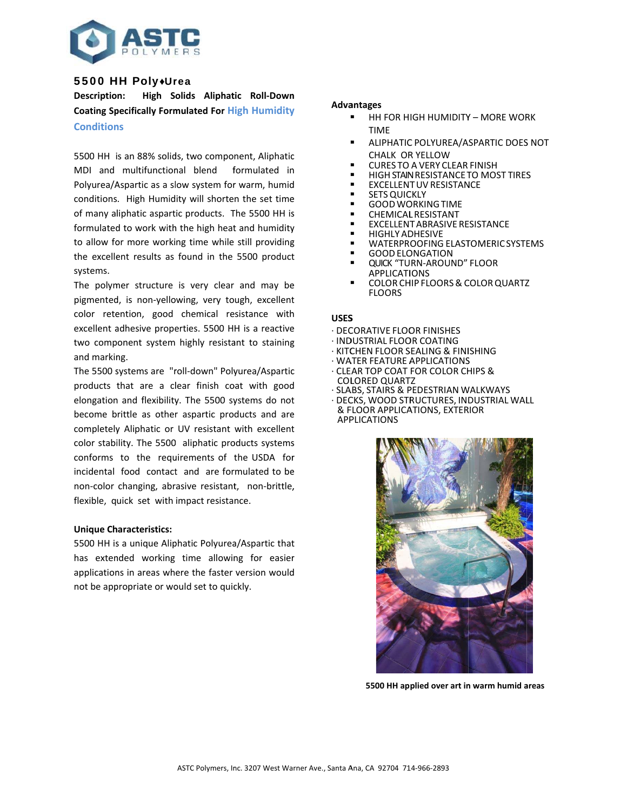

# 5500 HH Poly+Urea

**Description:** High Solids Aliphatic Roll-Down **Coating Specifically Formulated For High Humidity Conditions** 

5500 HH is an 88% solids, two component, Aliphatic MDI and multifunctional blend formulated in Polyurea/Aspartic as a slow system for warm, humid conditions. High Humidity will shorten the set time of many aliphatic aspartic products. The 5500 HH is formulated to work with the high heat and humidity to allow for more working time while still providing the excellent results as found in the 5500 product systems.

The polymer structure is very clear and may be pigmented, is non-yellowing, very tough, excellent color retention, good chemical resistance with excellent adhesive properties. 5500 HH is a reactive two component system highly resistant to staining and marking.

The 5500 systems are "roll-down" Polyurea/Aspartic products that are a clear finish coat with good elongation and flexibility. The 5500 systems do not become brittle as other aspartic products and are completely Aliphatic or UV resistant with excellent color stability. The 5500 aliphatic products systems conforms to the requirements of the USDA for incidental food contact and are formulated to be non-color changing, abrasive resistant, non-brittle, flexible, quick set with impact resistance.

## **Unique Characteristics:**

5500 HH is a unique Aliphatic Polyurea/Aspartic that has extended working time allowing for easier applications in areas where the faster version would not be appropriate or would set to quickly.

#### **Advantages**

- $\blacksquare$ HH FOR HIGH HUMIDITY - MORE WORK **TIME**
- ALIPHATIC POLYUREA/ASPARTIC DOES NOT CHAIK OR YELLOW
- **CURES TO A VERY CLEAR FINISH**
- HIGH STAIN RESISTANCE TO MOST TIRES
- **EXCELLENT UV RESISTANCE**
- $\blacksquare$ **SETS QUICKLY**
- $\blacksquare$ **GOOD WORKING TIME**
- **CHEMICAL RESISTANT**
- EXCELLENT ABRASIVE RESISTANCE
- $\blacksquare$ **HIGHLY ADHESIVE**
- WATERPROOFING ELASTOMERIC SYSTEMS
- **GOOD ELONGATION**
- QUICK "TURN-AROUND" FLOOR
- **APPLICATIONS** COLOR CHIP FLOORS & COLOR QUARTZ **FLOORS**

## **USES**

- · DECORATIVE FLOOR FINISHES
- · INDUSTRIAL FLOOR COATING
- · KITCHEN FLOOR SEALING & FINISHING
- · WATER FEATURE APPLICATIONS
- · CLEAR TOP COAT FOR COLOR CHIPS & **COLORED QUARTZ**
- · SLABS, STAIRS & PEDESTRIAN WALKWAYS
- · DECKS, WOOD STRUCTURES, INDUSTRIAL WALL & FLOOR APPLICATIONS, EXTERIOR **APPLICATIONS**



5500 HH applied over art in warm humid areas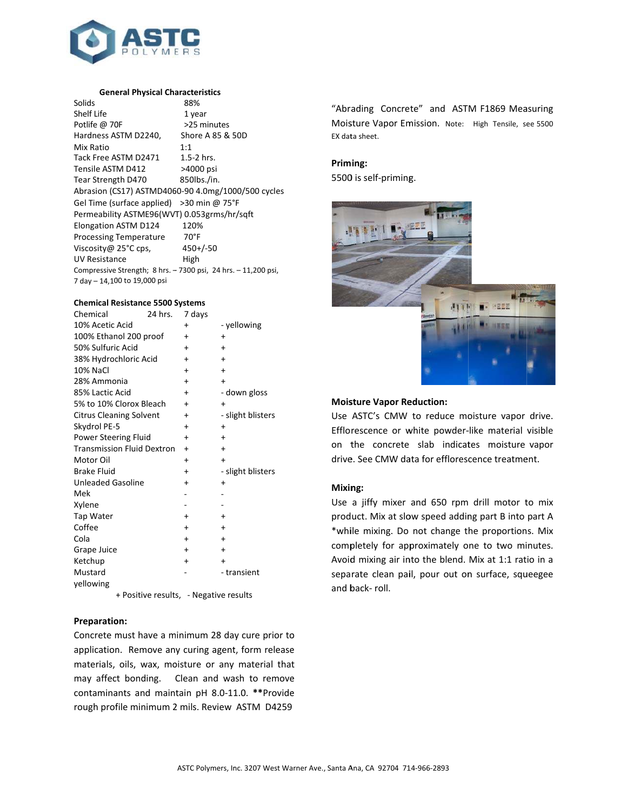

#### **General Physical Characteristics**

| Solids                                                         | 88%              |  |  |  |
|----------------------------------------------------------------|------------------|--|--|--|
| Shelf Life                                                     | 1 year           |  |  |  |
| Potlife @ 70F                                                  | >25 minutes      |  |  |  |
| Hardness ASTM D2240,                                           | Shore A 85 & 50D |  |  |  |
| Mix Ratio                                                      | 1:1              |  |  |  |
| Tack Free ASTM D2471                                           | $1.5-2$ hrs.     |  |  |  |
| Tensile ASTM D412                                              | >4000 psi        |  |  |  |
| Tear Strength D470                                             | 850lbs./in.      |  |  |  |
| Abrasion (CS17) ASTMD4060-90 4.0mg/1000/500 cycles             |                  |  |  |  |
| Gel Time (surface applied) > 30 min @ 75 $\degree$ F           |                  |  |  |  |
| Permeability ASTME96(WVT) 0.053grms/hr/sgft                    |                  |  |  |  |
| Elongation ASTM D124                                           | 120%             |  |  |  |
| <b>Processing Temperature</b>                                  | $70^{\circ}$ F   |  |  |  |
| Viscosity@ 25°C cps,                                           | $450 + (-50$     |  |  |  |
| UV Resistance                                                  | High             |  |  |  |
| Compressive Strength; 8 hrs. - 7300 psi, 24 hrs. - 11,200 psi, |                  |  |  |  |
| 7 day - 14,100 to 19,000 psi                                   |                  |  |  |  |

## **Chemical Resistance 5500 Systems**

| Chemical                          | 24 hrs. | 7 days    |                   |
|-----------------------------------|---------|-----------|-------------------|
| 10% Acetic Acid                   |         | $\ddot{}$ | - yellowing       |
| 100% Ethanol 200 proof            |         | $\ddot{}$ | $\ddot{}$         |
| 50% Sulfuric Acid                 |         | $\ddot{}$ | $\ddot{}$         |
| 38% Hydrochloric Acid             |         | $\ddot{}$ | $\ddot{}$         |
| 10% NaCl                          |         | $\ddot{}$ | $\ddot{}$         |
| 28% Ammonia                       |         | $\ddot{}$ | $\ddot{}$         |
| 85% Lactic Acid                   |         | $\ddot{}$ | - down gloss      |
| 5% to 10% Clorox Bleach           |         | $\ddot{}$ | $\ddot{}$         |
| <b>Citrus Cleaning Solvent</b>    |         | +         | - slight blisters |
| Skydrol PE-5                      |         | $\ddot{}$ | $\ddot{}$         |
| Power Steering Fluid              |         | $\ddot{}$ | $\ddot{}$         |
| <b>Transmission Fluid Dextron</b> |         | $\ddot{}$ | $\ddot{}$         |
| Motor Oil                         |         | $\ddot{}$ | $\ddot{}$         |
| <b>Brake Fluid</b>                |         | $\ddot{}$ | - slight blisters |
| <b>Unleaded Gasoline</b>          |         | $\ddot{}$ | $\ddot{}$         |
| Mek                               |         |           |                   |
| Xylene                            |         |           |                   |
| Tap Water                         |         | $\ddot{}$ | $\ddot{}$         |
| Coffee                            |         | $\ddot{}$ | $\ddot{}$         |
| Cola                              |         | $\ddot{}$ | $\ddot{}$         |
| Grape Juice                       |         | $\ddot{}$ | $\ddot{}$         |
| Ketchup                           |         | $\ddot{}$ | $\ddot{}$         |
| Mustard                           |         |           | - transient       |
| yellowing                         |         |           |                   |

+ Positive results, - Negative results

## **Preparation:**

Concrete must have a minimum 28 day cure prior to application. Remove any curing agent, form release materials, oils, wax, moisture or any material that may affect bonding. Clean and wash to remove contaminants and maintain pH 8.0-11.0. \*\* Provide rough profile minimum 2 mils. Review ASTM D4259

"Abrading Concrete" and ASTM F1869 Measuring Moisture Vapor Emission. Note: High Tensile, see 5500 EX data sheet.

## Priming:

5500 is self-priming.



#### **Moisture Vapor Reduction:**

Use ASTC's CMW to reduce moisture vapor drive. Efflorescence or white powder-like material visible on the concrete slab indicates moisture vapor drive. See CMW data for efflorescence treatment.

## Mixing:

Use a jiffy mixer and 650 rpm drill motor to mix product. Mix at slow speed adding part B into part A \*while mixing. Do not change the proportions. Mix completely for approximately one to two minutes. Avoid mixing air into the blend. Mix at 1:1 ratio in a separate clean pail, pour out on surface, squeegee and back-roll.